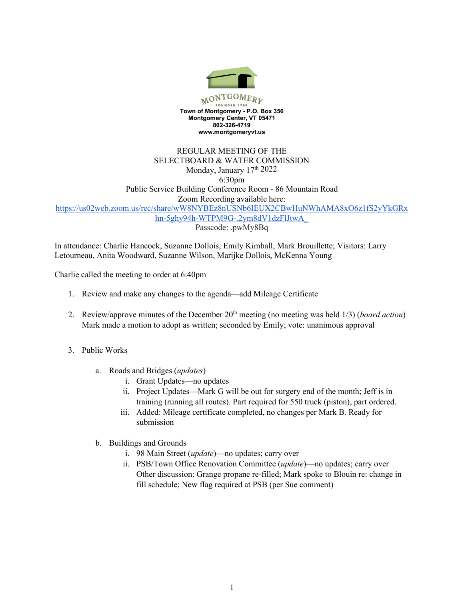

## REGULAR MEETING OF THE SELECTBOARD & WATER COMMISSION Monday, January 17<sup>th</sup> 2022 6:30pm Public Service Building Conference Room - 86 Mountain Road Zoom Recording available here: https://us02web.zoom.us/rec/share/wW8NYBEz8nUSNb6IEUX2CBwHuNWhAMA8xO6z1fS2yYkGRx hn-5ghy94h-WTPM9G-.2ym8dV1dzFlJtwA\_ Passcode: .pwMy8Bq

In attendance: Charlie Hancock, Suzanne Dollois, Emily Kimball, Mark Brouillette; Visitors: Larry Letourneau, Anita Woodward, Suzanne Wilson, Marijke Dollois, McKenna Young

Charlie called the meeting to order at 6:40pm

- 1. Review and make any changes to the agenda—add Mileage Certificate
- 2. Review/approve minutes of the December 20th meeting (no meeting was held 1/3) (*board action*) Mark made a motion to adopt as written; seconded by Emily; vote: unanimous approval
- 3. Public Works
	- a. Roads and Bridges (*updates*)
		- i. Grant Updates—no updates
		- ii. Project Updates—Mark G will be out for surgery end of the month; Jeff is in training (running all routes). Part required for 550 truck (piston), part ordered.
		- iii. Added: Mileage certificate completed, no changes per Mark B. Ready for submission
	- b. Buildings and Grounds
		- i. 98 Main Street (*update*)—no updates; carry over
		- ii. PSB/Town Office Renovation Committee (*update*)—no updates; carry over Other discussion: Grange propane re-filled; Mark spoke to Blouin re: change in fill schedule; New flag required at PSB (per Sue comment)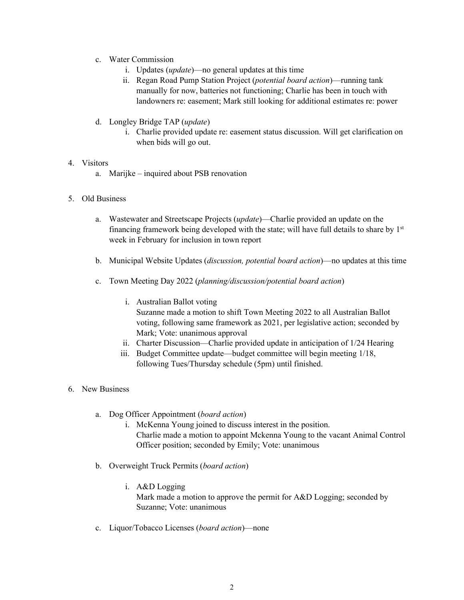- c. Water Commission
	- i. Updates (*update*)—no general updates at this time
	- ii. Regan Road Pump Station Project (*potential board action*)—running tank manually for now, batteries not functioning; Charlie has been in touch with landowners re: easement; Mark still looking for additional estimates re: power
- d. Longley Bridge TAP (*update*)
	- i. Charlie provided update re: easement status discussion. Will get clarification on when bids will go out.

## 4. Visitors

- a. Marijke inquired about PSB renovation
- 5. Old Business
	- a. Wastewater and Streetscape Projects (*update*)—Charlie provided an update on the financing framework being developed with the state; will have full details to share by  $1<sup>st</sup>$ week in February for inclusion in town report
	- b. Municipal Website Updates (*discussion, potential board action*)—no updates at this time
	- c. Town Meeting Day 2022 (*planning/discussion/potential board action*)
		- i. Australian Ballot voting Suzanne made a motion to shift Town Meeting 2022 to all Australian Ballot voting, following same framework as 2021, per legislative action; seconded by Mark; Vote: unanimous approval
		- ii. Charter Discussion—Charlie provided update in anticipation of 1/24 Hearing
		- iii. Budget Committee update—budget committee will begin meeting 1/18, following Tues/Thursday schedule (5pm) until finished.

## 6. New Business

- a. Dog Officer Appointment (*board action*)
	- i. McKenna Young joined to discuss interest in the position. Charlie made a motion to appoint Mckenna Young to the vacant Animal Control Officer position; seconded by Emily; Vote: unanimous
- b. Overweight Truck Permits (*board action*)
	- i. A&D Logging Mark made a motion to approve the permit for A&D Logging; seconded by Suzanne; Vote: unanimous
- c. Liquor/Tobacco Licenses (*board action*)—none